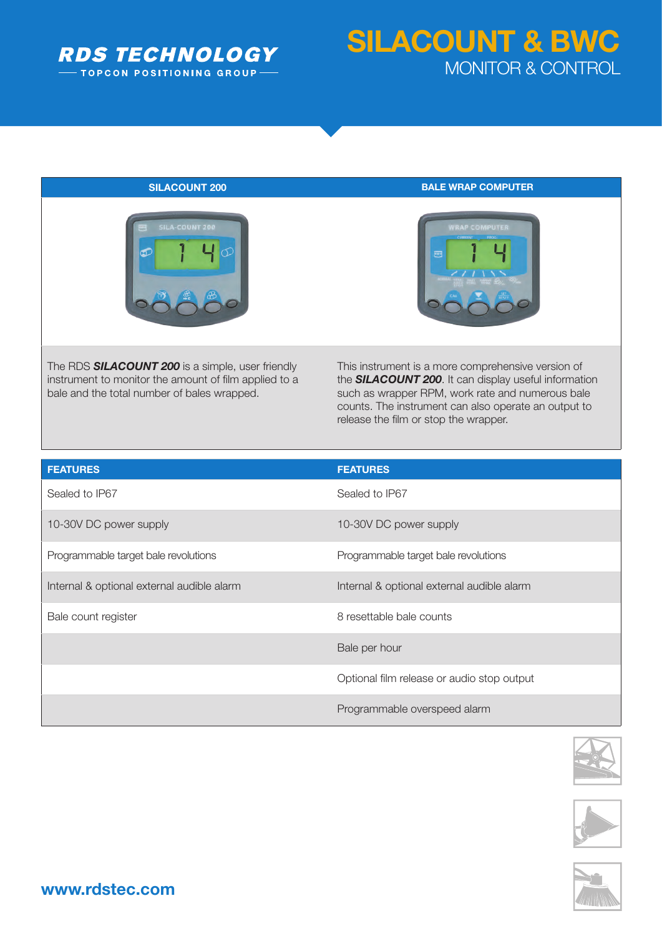

## **SILACOUNT & BWC** MONITOR & CONTROL



The RDS *SILACOUNT 200* is a simple, user friendly instrument to monitor the amount of film applied to a bale and the total number of bales wrapped.

**SILACOUNT 200 BALE WRAP COMPUTER** 



This instrument is a more comprehensive version of the *SILACOUNT 200*. It can display useful information such as wrapper RPM, work rate and numerous bale counts. The instrument can also operate an output to release the film or stop the wrapper.

| <b>FEATURES</b>                            | <b>FEATURES</b>                            |
|--------------------------------------------|--------------------------------------------|
| Sealed to IP67                             | Sealed to IP67                             |
| 10-30V DC power supply                     | 10-30V DC power supply                     |
| Programmable target bale revolutions       | Programmable target bale revolutions       |
| Internal & optional external audible alarm | Internal & optional external audible alarm |
| Bale count register                        | 8 resettable bale counts                   |
|                                            | Bale per hour                              |
|                                            | Optional film release or audio stop output |
|                                            | Programmable overspeed alarm               |